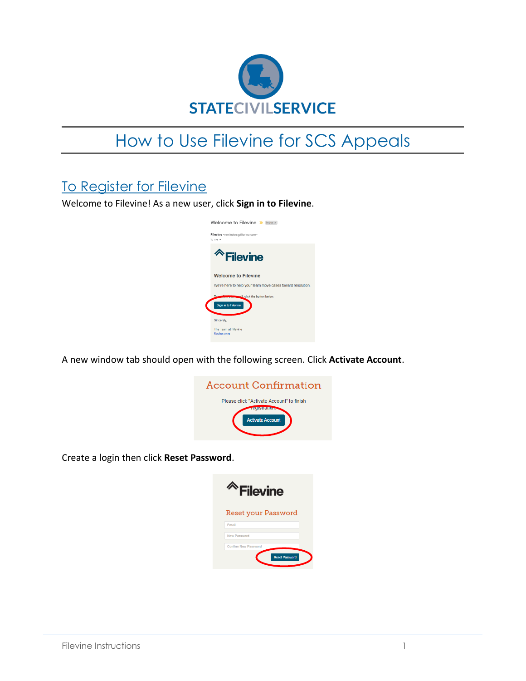

## How to Use Filevine for SCS Appeals

## To Register for Filevine

Welcome to Filevine! As a new user, click **Sign in to Filevine**.



A new window tab should open with the following screen. Click **Activate Account**.

| Account Confirmation                                                                  |
|---------------------------------------------------------------------------------------|
| Please click "Activate Account" to finish<br><b>SHETHE</b><br><b>Activate Account</b> |

Create a login then click **Reset Password**.

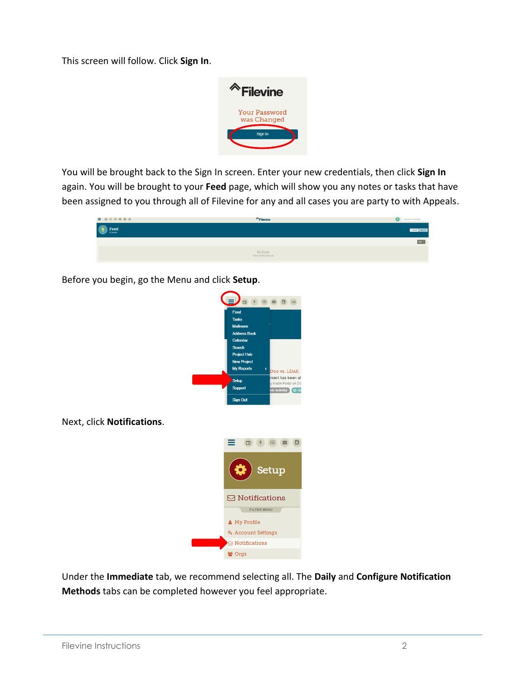This screen will follow. Click **Sign In**.



You will be brought back to the Sign In screen. Enter your new credentials, then click **Sign In** again. You will be brought to your **Feed** page, which will show you any notes or tasks that have been assigned to you through all of Filevine for any and all cases you are party to with Appeals.



Before you begin, go the Menu and click **Setup**.



Next, click **Notifications**.



Under the **Immediate** tab, we recommend selecting all. The **Daily** and **Configure Notification Methods** tabs can be completed however you feel appropriate.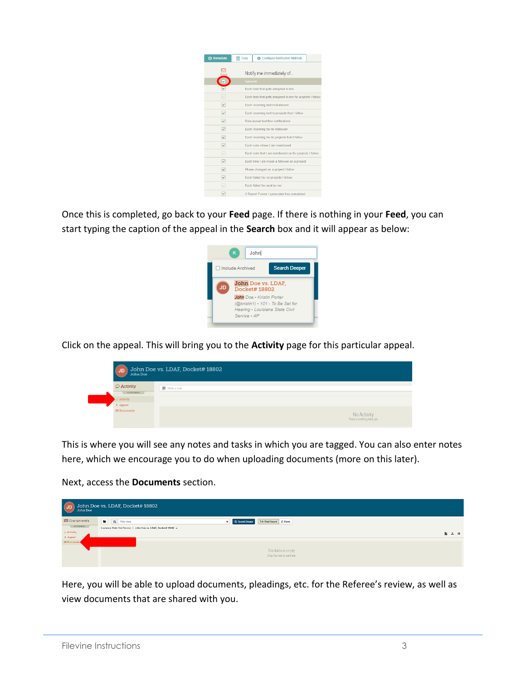| <b>@</b> Immediate      | <b>fff</b> Daily  | <b>25</b> Configure Notification Methods                 |
|-------------------------|-------------------|----------------------------------------------------------|
|                         |                   | Notify me immediately of                                 |
| ⊽                       | <b>Select All</b> |                                                          |
| ⊽                       |                   | Each task that gets assigned to me                       |
| ▽                       |                   | Each task that gets assigned to me for projects I follow |
| ᢦ                       |                   | Each incoming text to Mailroom                           |
| ᢦ                       |                   | Each incoming text to projects that I follow             |
| ᢦ                       |                   | Role-based taskflow notifications                        |
| ▽                       |                   | Each incoming fax to Mailroom                            |
| ▽                       |                   | Each incoming fax to projects that I follow              |
| ▽                       |                   | Each note where I am mentioned                           |
| ☞                       |                   | Each note that I am mentioned on for projects I follow   |
| $\overline{\mathbf{v}}$ |                   | Each time I am made a follower on a project              |
| ▽                       |                   | Phase changed on a project I follow                      |
| ▽                       |                   | Each failed fax on projects I follow                     |
| $\overline{\mathbf{v}}$ |                   | Each failed fax sent by me                               |
| v                       |                   | A Report Fusion I generated has completed                |

Once this is completed, go back to your **Feed** page. If there is nothing in your **Feed**, you can start typing the caption of the appeal in the **Search** box and it will appear as below:



Click on the appeal. This will bring you to the **Activity** page for this particular appeal.



This is where you will see any notes and tasks in which you are tagged. You can also enter notes here, which we encourage you to do when uploading documents (more on this later).

Next, access the **Documents** section.

| $\overline{u}$                            | John Doe vs. LDAF, Docket# 18802                                   |                                                         |                             |
|-------------------------------------------|--------------------------------------------------------------------|---------------------------------------------------------|-----------------------------|
| <b>El Documents</b><br><b>FILTER MENU</b> | Filter docs                                                        | Im Most Recent   12 Name<br>Q Search Deeper<br>$\times$ |                             |
| $\circ$ Activity                          | Louisiana State Civil Service > John Doe vs. LDAF, Docket# 18802 - |                                                         | $\mathbb{B}$ $\mathbb{L}$ 0 |
| + Appeal<br><b>E Documents</b>            |                                                                    |                                                         |                             |
|                                           |                                                                    | This folder is empty                                    |                             |
|                                           |                                                                    | Drop files here to add them                             |                             |

Here, you will be able to upload documents, pleadings, etc. for the Referee's review, as well as view documents that are shared with you.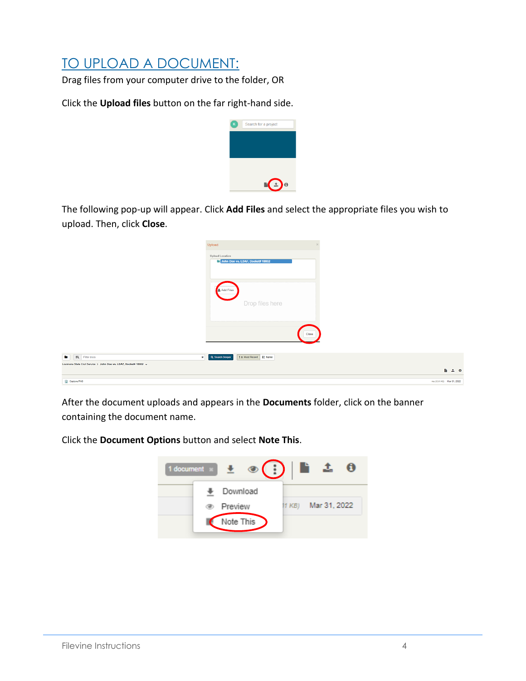## TO UPLOAD A DOCUMENT:

Drag files from your computer drive to the folder, OR

Click the **Upload files** button on the far right-hand side.



The following pop-up will appear. Click **Add Files** and select the appropriate files you wish to upload. Then, click **Close**.

|                                                                    | Upload                                              |                             |  |
|--------------------------------------------------------------------|-----------------------------------------------------|-----------------------------|--|
|                                                                    | Upload Location<br>John Doe vs. LDAF, Docket# 18802 |                             |  |
|                                                                    | <b>主 Add Files</b><br>Drop files here               |                             |  |
|                                                                    | -----------                                         | Close                       |  |
| п.<br>Eq. Filter docs<br>$\mathbf{x}$                              | ↑ Most Recent   ↓ Name<br>Q Search Deeper           |                             |  |
| Louisiana State Civil Service > John Doe vs. LDAF, Docket# 18802 + |                                                     | $\mathbf{h}$ $\mathbf{L}$ 0 |  |
| Capture PNG                                                        |                                                     | me (33.61 KB) Mar 31, 2022  |  |

After the document uploads and appears in the **Documents** folder, click on the banner containing the document name.

Click the **Document Options** button and select **Note This**.